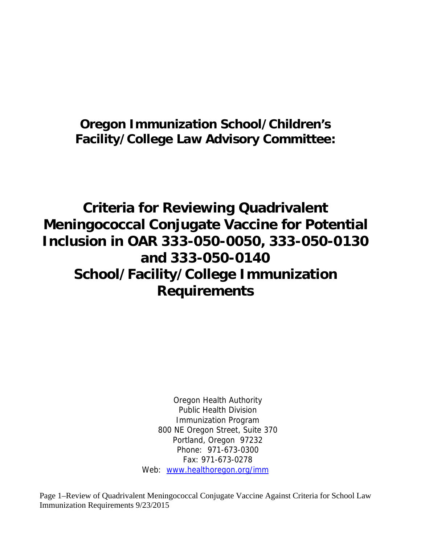## **Oregon Immunization School/Children's Facility/College Law Advisory Committee:**

# **Criteria for Reviewing Quadrivalent Meningococcal Conjugate Vaccine for Potential Inclusion in OAR 333-050-0050, 333-050-0130 and 333-050-0140 School/Facility/College Immunization Requirements**

Oregon Health Authority Public Health Division Immunization Program 800 NE Oregon Street, Suite 370 Portland, Oregon 97232 Phone: 971-673-0300 Fax: 971-673-0278 Web: www.healthoregon.org/imm

Page 1–Review of Quadrivalent Meningococcal Conjugate Vaccine Against Criteria for School Law Immunization Requirements 9/23/2015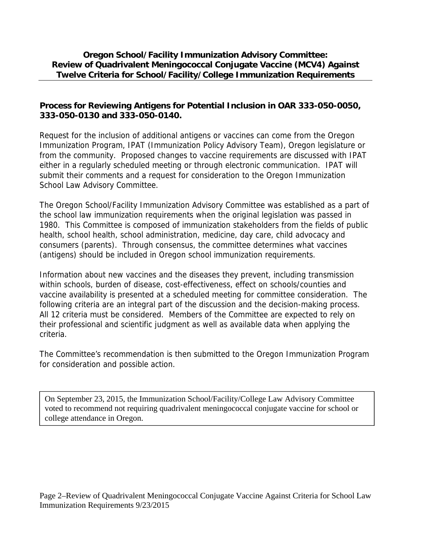#### **Oregon School/Facility Immunization Advisory Committee: Review of Quadrivalent Meningococcal Conjugate Vaccine (MCV4) Against Twelve Criteria for School/Facility/College Immunization Requirements**

#### **Process for Reviewing Antigens for Potential Inclusion in OAR 333-050-0050, 333-050-0130 and 333-050-0140.**

Request for the inclusion of additional antigens or vaccines can come from the Oregon Immunization Program, IPAT (Immunization Policy Advisory Team), Oregon legislature or from the community. Proposed changes to vaccine requirements are discussed with IPAT either in a regularly scheduled meeting or through electronic communication. IPAT will submit their comments and a request for consideration to the Oregon Immunization School Law Advisory Committee.

The Oregon School/Facility Immunization Advisory Committee was established as a part of the school law immunization requirements when the original legislation was passed in 1980. This Committee is composed of immunization stakeholders from the fields of public health, school health, school administration, medicine, day care, child advocacy and consumers (parents). Through consensus, the committee determines what vaccines (antigens) should be included in Oregon school immunization requirements.

Information about new vaccines and the diseases they prevent, including transmission within schools, burden of disease, cost-effectiveness, effect on schools/counties and vaccine availability is presented at a scheduled meeting for committee consideration. The following criteria are an integral part of the discussion and the decision-making process. All 12 criteria must be considered. Members of the Committee are expected to rely on their professional and scientific judgment as well as available data when applying the criteria.

The Committee's recommendation is then submitted to the Oregon Immunization Program for consideration and possible action.

On September 23, 2015, the Immunization School/Facility/College Law Advisory Committee voted to recommend not requiring quadrivalent meningococcal conjugate vaccine for school or college attendance in Oregon.

Page 2–Review of Quadrivalent Meningococcal Conjugate Vaccine Against Criteria for School Law Immunization Requirements 9/23/2015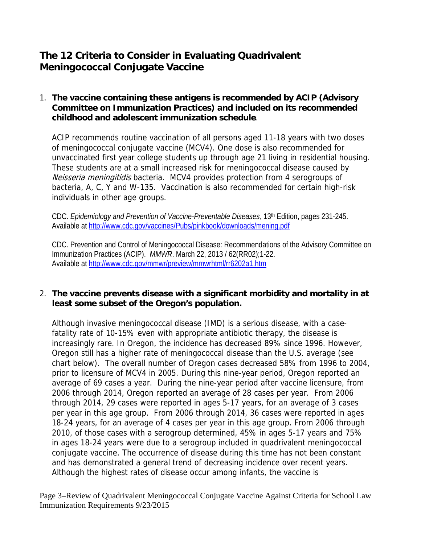### **The 12 Criteria to Consider in Evaluating Quadrivalent Meningococcal Conjugate Vaccine**

#### 1. **The vaccine containing these antigens is recommended by ACIP (Advisory Committee on Immunization Practices) and included on its recommended childhood and adolescent immunization schedule**.

ACIP recommends routine vaccination of all persons aged 11-18 years with two doses of meningococcal conjugate vaccine (MCV4). One dose is also recommended for unvaccinated first year college students up through age 21 living in residential housing. These students are at a small increased risk for meningococcal disease caused by Neisseria meningitidis bacteria. MCV4 provides protection from 4 serogroups of bacteria, A, C, Y and W-135. Vaccination is also recommended for certain high-risk individuals in other age groups.

CDC. *Epidemiology and Prevention of Vaccine-Preventable Diseases*, 13th Edition, pages 231-245. Available at http://www.cdc.gov/vaccines/Pubs/pinkbook/downloads/mening.pdf

CDC. Prevention and Control of Meningococcal Disease: Recommendations of the Advisory Committee on Immunization Practices (ACIP). *MMWR*. March 22, 2013 / 62(RR02);1-22. Available at http://www.cdc.gov/mmwr/preview/mmwrhtml/rr6202a1.htm

#### 2. **The vaccine prevents disease with a significant morbidity and mortality in at least some subset of the Oregon's population.**

Although invasive meningococcal disease (IMD) is a serious disease, with a casefatality rate of 10-15% even with appropriate antibiotic therapy, the disease is increasingly rare. In Oregon, the incidence has decreased 89% since 1996. However, Oregon still has a higher rate of meningococcal disease than the U.S. average (see chart below). The overall number of Oregon cases decreased 58% from 1996 to 2004, prior to licensure of MCV4 in 2005. During this nine-year period, Oregon reported an average of 69 cases a year. During the nine-year period after vaccine licensure, from 2006 through 2014, Oregon reported an average of 28 cases per year. From 2006 through 2014, 29 cases were reported in ages 5-17 years, for an average of 3 cases per year in this age group. From 2006 through 2014, 36 cases were reported in ages 18-24 years, for an average of 4 cases per year in this age group. From 2006 through 2010, of those cases with a serogroup determined, 45% in ages 5-17 years and 75% in ages 18-24 years were due to a serogroup included in quadrivalent meningococcal conjugate vaccine. The occurrence of disease during this time has not been constant and has demonstrated a general trend of decreasing incidence over recent years. Although the highest rates of disease occur among infants, the vaccine is

Page 3–Review of Quadrivalent Meningococcal Conjugate Vaccine Against Criteria for School Law Immunization Requirements 9/23/2015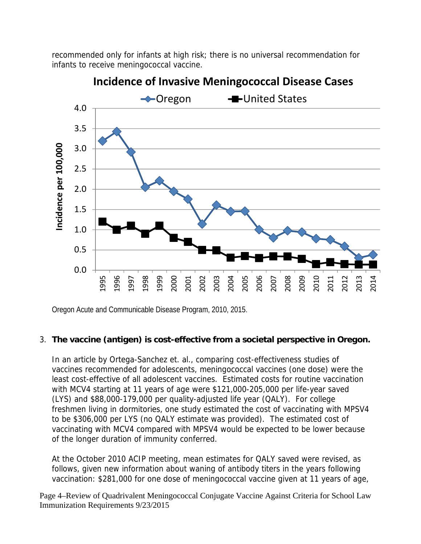recommended only for infants at high risk; there is no universal recommendation for infants to receive meningococcal vaccine.



## **Incidence of Invasive Meningococcal Disease Cases**

Oregon Acute and Communicable Disease Program, 2010, 2015.

#### 3. **The vaccine (antigen) is cost-effective from a societal perspective in Oregon.**

In an article by Ortega-Sanchez et. al., comparing cost-effectiveness studies of vaccines recommended for adolescents, meningococcal vaccines (one dose) were the least cost-effective of all adolescent vaccines. Estimated costs for routine vaccination with MCV4 starting at 11 years of age were \$121,000-205,000 per life-year saved (LYS) and \$88,000-179,000 per quality-adjusted life year (QALY). For college freshmen living in dormitories, one study estimated the cost of vaccinating with MPSV4 to be \$306,000 per LYS (no QALY estimate was provided). The estimated cost of vaccinating with MCV4 compared with MPSV4 would be expected to be lower because of the longer duration of immunity conferred.

At the October 2010 ACIP meeting, mean estimates for QALY saved were revised, as follows, given new information about waning of antibody titers in the years following vaccination: \$281,000 for one dose of meningococcal vaccine given at 11 years of age,

Page 4–Review of Quadrivalent Meningococcal Conjugate Vaccine Against Criteria for School Law Immunization Requirements 9/23/2015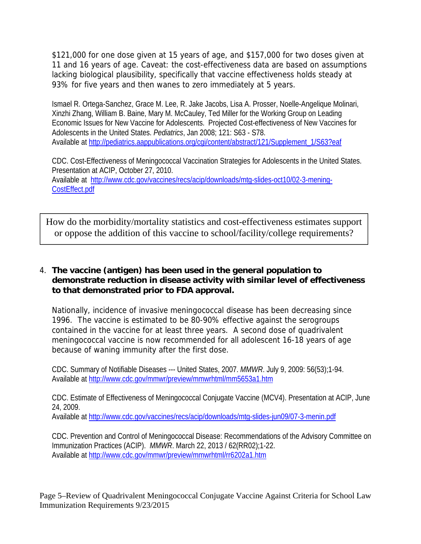\$121,000 for one dose given at 15 years of age, and \$157,000 for two doses given at 11 and 16 years of age. Caveat: the cost-effectiveness data are based on assumptions lacking biological plausibility, specifically that vaccine effectiveness holds steady at 93% for five years and then wanes to zero immediately at 5 years.

Ismael R. Ortega-Sanchez, Grace M. Lee, R. Jake Jacobs, Lisa A. Prosser, Noelle-Angelique Molinari, Xinzhi Zhang, William B. Baine, Mary M. McCauley, Ted Miller for the Working Group on Leading Economic Issues for New Vaccine for Adolescents. Projected Cost-effectiveness of New Vaccines for Adolescents in the United States. *Pediatrics*, Jan 2008; 121: S63 - S78. Available at http://pediatrics.aappublications.org/cgi/content/abstract/121/Supplement\_1/S63?eaf

CDC. Cost-Effectiveness of Meningococcal Vaccination Strategies for Adolescents in the United States. Presentation at ACIP, October 27, 2010. Available at http://www.cdc.gov/vaccines/recs/acip/downloads/mtg-slides-oct10/02-3-mening-CostEffect.pdf

How do the morbidity/mortality statistics and cost-effectiveness estimates support or oppose the addition of this vaccine to school/facility/college requirements?

#### 4. **The vaccine (antigen) has been used in the general population to demonstrate reduction in disease activity with similar level of effectiveness to that demonstrated prior to FDA approval.**

Nationally, incidence of invasive meningococcal disease has been decreasing since 1996. The vaccine is estimated to be 80-90% effective against the serogroups contained in the vaccine for at least three years. A second dose of quadrivalent meningococcal vaccine is now recommended for all adolescent 16-18 years of age because of waning immunity after the first dose.

CDC. Summary of Notifiable Diseases --- United States, 2007. *MMWR*. July 9, 2009: 56(53);1-94. Available at http://www.cdc.gov/mmwr/preview/mmwrhtml/mm5653a1.htm

CDC. Estimate of Effectiveness of Meningococcal Conjugate Vaccine (MCV4). Presentation at ACIP, June 24, 2009.

Available at http://www.cdc.gov/vaccines/recs/acip/downloads/mtg-slides-jun09/07-3-menin.pdf

CDC. Prevention and Control of Meningococcal Disease: Recommendations of the Advisory Committee on Immunization Practices (ACIP). *MMWR*. March 22, 2013 / 62(RR02);1-22. Available at http://www.cdc.gov/mmwr/preview/mmwrhtml/rr6202a1.htm

Page 5–Review of Quadrivalent Meningococcal Conjugate Vaccine Against Criteria for School Law Immunization Requirements 9/23/2015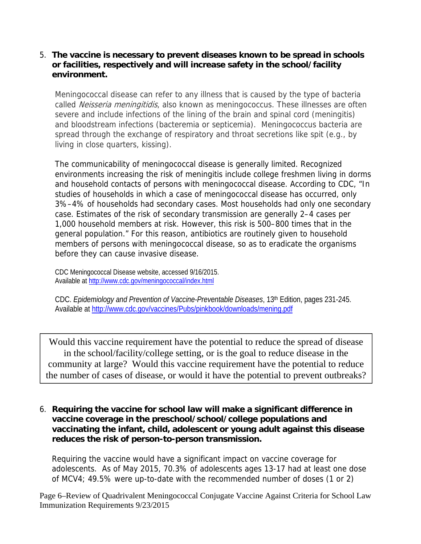#### 5. **The vaccine is necessary to prevent diseases known to be spread in schools or facilities, respectively and will increase safety in the school/facility environment.**

Meningococcal disease can refer to any illness that is caused by the type of bacteria called Neisseria meningitidis, also known as meningococcus. These illnesses are often severe and include infections of the lining of the brain and spinal cord (meningitis) and bloodstream infections (bacteremia or septicemia). Meningococcus bacteria are spread through the exchange of respiratory and throat secretions like spit (e.g., by living in close quarters, kissing).

The communicability of meningococcal disease is generally limited. Recognized environments increasing the risk of meningitis include college freshmen living in dorms and household contacts of persons with meningococcal disease. According to CDC, "In studies of households in which a case of meningococcal disease has occurred, only 3%–4% of households had secondary cases. Most households had only one secondary case. Estimates of the risk of secondary transmission are generally 2–4 cases per 1,000 household members at risk. However, this risk is 500–800 times that in the general population." For this reason, antibiotics are routinely given to household members of persons with meningococcal disease, so as to eradicate the organisms before they can cause invasive disease.

CDC Meningococcal Disease website, accessed 9/16/2015. Available at http://www.cdc.gov/meningococcal/index.html

CDC. *Epidemiology and Prevention of Vaccine-Preventable Diseases*, 13th Edition, pages 231-245. Available at http://www.cdc.gov/vaccines/Pubs/pinkbook/downloads/mening.pdf

Would this vaccine requirement have the potential to reduce the spread of disease in the school/facility/college setting, or is the goal to reduce disease in the community at large? Would this vaccine requirement have the potential to reduce the number of cases of disease, or would it have the potential to prevent outbreaks?

6. **Requiring the vaccine for school law will make a significant difference in vaccine coverage in the preschool/school/college populations and vaccinating the infant, child, adolescent or young adult against this disease reduces the risk of person-to-person transmission.** 

Requiring the vaccine would have a significant impact on vaccine coverage for adolescents. As of May 2015, 70.3% of adolescents ages 13-17 had at least one dose of MCV4; 49.5% were up-to-date with the recommended number of doses (1 or 2)

Page 6–Review of Quadrivalent Meningococcal Conjugate Vaccine Against Criteria for School Law Immunization Requirements 9/23/2015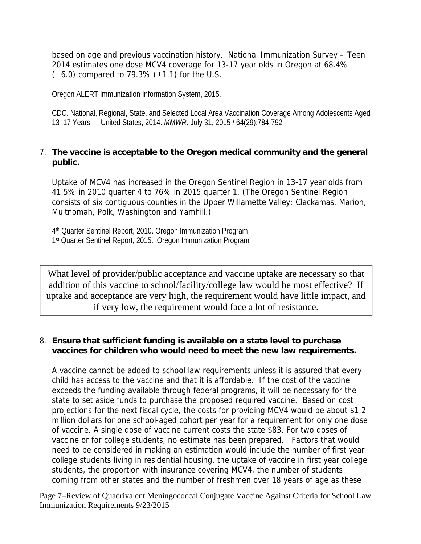based on age and previous vaccination history. National Immunization Survey – Teen 2014 estimates one dose MCV4 coverage for 13-17 year olds in Oregon at 68.4%  $(\pm 6.0)$  compared to 79.3%  $(\pm 1.1)$  for the U.S.

Oregon ALERT Immunization Information System, 2015.

CDC. National, Regional, State, and Selected Local Area Vaccination Coverage Among Adolescents Aged 13–17 Years — United States, 2014. *MMWR*. July 31, 2015 / 64(29);784-792

#### 7. **The vaccine is acceptable to the Oregon medical community and the general public.**

Uptake of MCV4 has increased in the Oregon Sentinel Region in 13-17 year olds from 41.5% in 2010 quarter 4 to 76% in 2015 quarter 1. (The Oregon Sentinel Region consists of six contiguous counties in the Upper Willamette Valley: Clackamas, Marion, Multnomah, Polk, Washington and Yamhill.)

4th Quarter Sentinel Report, 2010. Oregon Immunization Program 1st Quarter Sentinel Report, 2015. Oregon Immunization Program

What level of provider/public acceptance and vaccine uptake are necessary so that addition of this vaccine to school/facility/college law would be most effective? If uptake and acceptance are very high, the requirement would have little impact, and if very low, the requirement would face a lot of resistance.

#### 8. **Ensure that sufficient funding is available on a state level to purchase vaccines for children who would need to meet the new law requirements.**

A vaccine cannot be added to school law requirements unless it is assured that every child has access to the vaccine and that it is affordable. If the cost of the vaccine exceeds the funding available through federal programs, it will be necessary for the state to set aside funds to purchase the proposed required vaccine. Based on cost projections for the next fiscal cycle, the costs for providing MCV4 would be about \$1.2 million dollars for one school-aged cohort per year for a requirement for only one dose of vaccine. A single dose of vaccine current costs the state \$83. For two doses of vaccine or for college students, no estimate has been prepared. Factors that would need to be considered in making an estimation would include the number of first year college students living in residential housing, the uptake of vaccine in first year college students, the proportion with insurance covering MCV4, the number of students coming from other states and the number of freshmen over 18 years of age as these

Page 7–Review of Quadrivalent Meningococcal Conjugate Vaccine Against Criteria for School Law Immunization Requirements 9/23/2015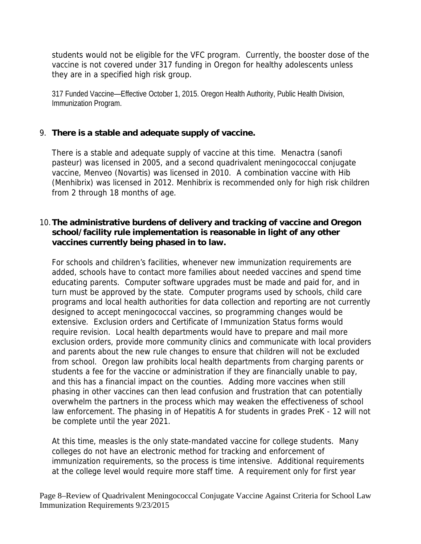students would not be eligible for the VFC program. Currently, the booster dose of the vaccine is not covered under 317 funding in Oregon for healthy adolescents unless they are in a specified high risk group.

317 Funded Vaccine—Effective October 1, 2015. Oregon Health Authority, Public Health Division, Immunization Program.

#### 9. **There is a stable and adequate supply of vaccine.**

There is a stable and adequate supply of vaccine at this time. Menactra (sanofi pasteur) was licensed in 2005, and a second quadrivalent meningococcal conjugate vaccine, Menveo (Novartis) was licensed in 2010. A combination vaccine with Hib (Menhibrix) was licensed in 2012. Menhibrix is recommended only for high risk children from 2 through 18 months of age.

#### 10.**The administrative burdens of delivery and tracking of vaccine and Oregon school/facility rule implementation is reasonable in light of any other vaccines currently being phased in to law.**

For schools and children's facilities, whenever new immunization requirements are added, schools have to contact more families about needed vaccines and spend time educating parents. Computer software upgrades must be made and paid for, and in turn must be approved by the state. Computer programs used by schools, child care programs and local health authorities for data collection and reporting are not currently designed to accept meningococcal vaccines, so programming changes would be extensive. Exclusion orders and Certificate of Immunization Status forms would require revision. Local health departments would have to prepare and mail more exclusion orders, provide more community clinics and communicate with local providers and parents about the new rule changes to ensure that children will not be excluded from school. Oregon law prohibits local health departments from charging parents or students a fee for the vaccine or administration if they are financially unable to pay, and this has a financial impact on the counties. Adding more vaccines when still phasing in other vaccines can then lead confusion and frustration that can potentially overwhelm the partners in the process which may weaken the effectiveness of school law enforcement. The phasing in of Hepatitis A for students in grades PreK - 12 will not be complete until the year 2021.

At this time, measles is the only state-mandated vaccine for college students. Many colleges do not have an electronic method for tracking and enforcement of immunization requirements, so the process is time intensive. Additional requirements at the college level would require more staff time. A requirement only for first year

Page 8–Review of Quadrivalent Meningococcal Conjugate Vaccine Against Criteria for School Law Immunization Requirements 9/23/2015